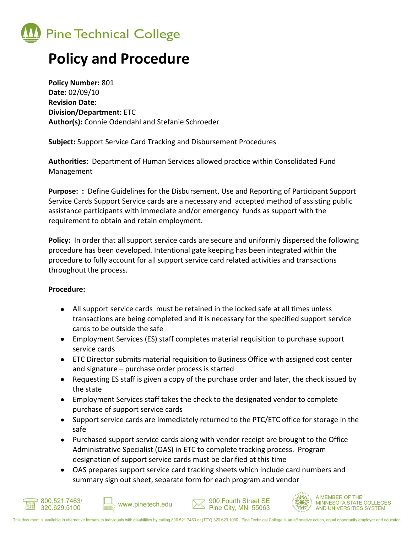

## **Policy and Procedure**

**Policy Number:** 801 **Date:** 02/09/10 **Revision Date: Division/Department:** ETC **Author(s):** Connie Odendahl and Stefanie Schroeder

**Subject:** Support Service Card Tracking and Disbursement Procedures

**Authorities:** Department of Human Services allowed practice within Consolidated Fund Management

**Purpose: :** Define Guidelines for the Disbursement, Use and Reporting of Participant Support Service Cards Support Service cards are a necessary and accepted method of assisting public assistance participants with immediate and/or emergency funds as support with the requirement to obtain and retain employment.

**Policy:** In order that all support service cards are secure and uniformly dispersed the following procedure has been developed. Intentional gate keeping has been integrated within the procedure to fully account for all support service card related activities and transactions throughout the process.

## **Procedure:**

- All support service cards must be retained in the locked safe at all times unless transactions are being completed and it is necessary for the specified support service cards to be outside the safe
- Employment Services (ES) staff completes material requisition to purchase support service cards
- ETC Director submits material requisition to Business Office with assigned cost center and signature – purchase order process is started
- Requesting ES staff is given a copy of the purchase order and later, the check issued by the state
- Employment Services staff takes the check to the designated vendor to complete purchase of support service cards
- Support service cards are immediately returned to the PTC/ETC office for storage in the safe
- Purchased support service cards along with vendor receipt are brought to the Office Administrative Specialist (OAS) in ETC to complete tracking process. Program designation of support service cards must be clarified at this time
- OAS prepares support service card tracking sheets which include card numbers and summary sign out sheet, separate form for each program and vendor